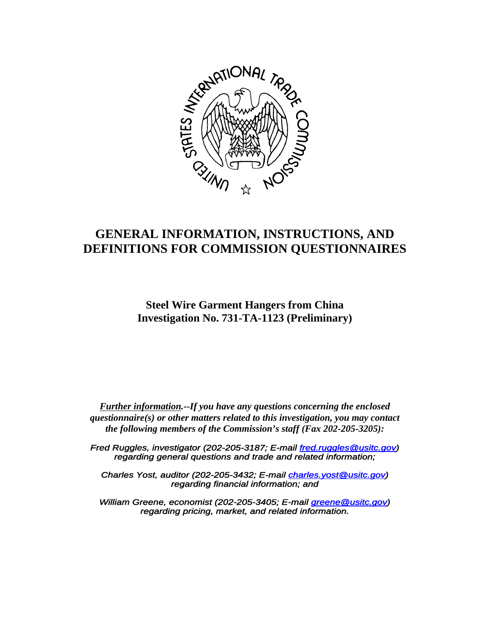

# **GENERAL INFORMATION, INSTRUCTIONS, AND DEFINITIONS FOR COMMISSION QUESTIONNAIRES**

**Steel Wire Garment Hangers from China Investigation No. 731-TA-1123 (Preliminary)**

*Further information.--If you have any questions concerning the enclosed questionnaire(s) or other matters related to this investigation, you may contact the following members of the Commission's staff (Fax 202-205-3205):*

*Fred Ruggles, investigator (202-205-3187; E-mail fred.ruggles@usitc.gov) regarding general questions and trade and related information;*

*Charles Yost, auditor (202-205-3432; E-mail charles.yost@usitc.gov) regarding financial information; and*

*William Greene, economist (202-205-3405; E-mail greene@usitc.gov) regarding pricing, market, and related information.*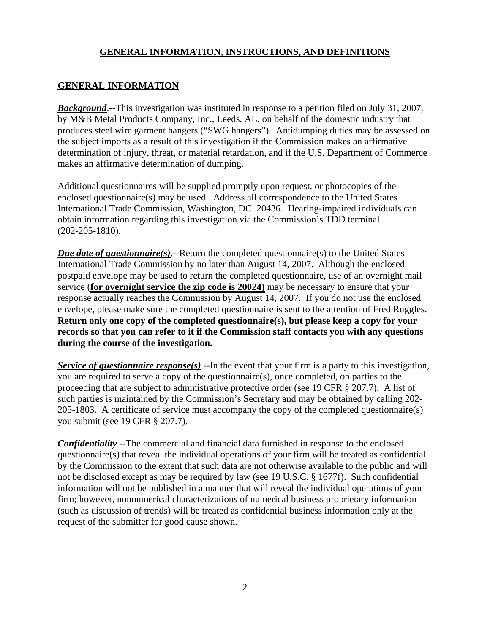# **GENERAL INFORMATION**

**Background**.--This investigation was instituted in response to a petition filed on July 31, 2007, by M&B Metal Products Company, Inc., Leeds, AL, on behalf of the domestic industry that produces steel wire garment hangers ("SWG hangers"). Antidumping duties may be assessed on the subject imports as a result of this investigation if the Commission makes an affirmative determination of injury, threat, or material retardation, and if the U.S. Department of Commerce makes an affirmative determination of dumping.

Additional questionnaires will be supplied promptly upon request, or photocopies of the enclosed questionnaire(s) may be used. Address all correspondence to the United States International Trade Commission, Washington, DC 20436. Hearing-impaired individuals can obtain information regarding this investigation via the Commission's TDD terminal (202-205-1810).

*Due date of questionnaire(s)*.--Return the completed questionnaire(s) to the United States International Trade Commission by no later than August 14, 2007. Although the enclosed postpaid envelope may be used to return the completed questionnaire, use of an overnight mail service (**for overnight service the zip code is 20024)** may be necessary to ensure that your response actually reaches the Commission by August 14, 2007. If you do not use the enclosed envelope, please make sure the completed questionnaire is sent to the attention of Fred Ruggles. **Return only one copy of the completed questionnaire(s), but please keep a copy for your records so that you can refer to it if the Commission staff contacts you with any questions during the course of the investigation.**

*Service of questionnaire response(s)*.--In the event that your firm is a party to this investigation, you are required to serve a copy of the questionnaire(s), once completed, on parties to the proceeding that are subject to administrative protective order (see 19 CFR § 207.7). A list of such parties is maintained by the Commission's Secretary and may be obtained by calling 202- 205-1803. A certificate of service must accompany the copy of the completed questionnaire(s) you submit (see 19 CFR § 207.7).

*Confidentiality*.--The commercial and financial data furnished in response to the enclosed questionnaire(s) that reveal the individual operations of your firm will be treated as confidential by the Commission to the extent that such data are not otherwise available to the public and will not be disclosed except as may be required by law (see 19 U.S.C. § 1677f). Such confidential information will not be published in a manner that will reveal the individual operations of your firm; however, nonnumerical characterizations of numerical business proprietary information (such as discussion of trends) will be treated as confidential business information only at the request of the submitter for good cause shown.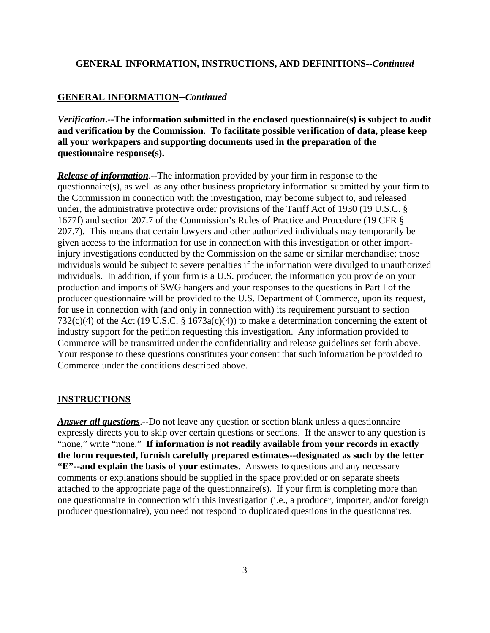#### **GENERAL INFORMATION--***Continued*

*Verification***.--The information submitted in the enclosed questionnaire(s) is subject to audit and verification by the Commission. To facilitate possible verification of data, please keep all your workpapers and supporting documents used in the preparation of the questionnaire response(s).**

*Release of information*.--The information provided by your firm in response to the questionnaire(s), as well as any other business proprietary information submitted by your firm to the Commission in connection with the investigation, may become subject to, and released under, the administrative protective order provisions of the Tariff Act of 1930 (19 U.S.C. § 1677f) and section 207.7 of the Commission's Rules of Practice and Procedure (19 CFR § 207.7). This means that certain lawyers and other authorized individuals may temporarily be given access to the information for use in connection with this investigation or other importinjury investigations conducted by the Commission on the same or similar merchandise; those individuals would be subject to severe penalties if the information were divulged to unauthorized individuals. In addition, if your firm is a U.S. producer, the information you provide on your production and imports of SWG hangers and your responses to the questions in Part I of the producer questionnaire will be provided to the U.S. Department of Commerce, upon its request, for use in connection with (and only in connection with) its requirement pursuant to section 732(c)(4) of the Act (19 U.S.C. § 1673a(c)(4)) to make a determination concerning the extent of industry support for the petition requesting this investigation. Any information provided to Commerce will be transmitted under the confidentiality and release guidelines set forth above. Your response to these questions constitutes your consent that such information be provided to Commerce under the conditions described above.

#### **INSTRUCTIONS**

*Answer all questions*.--Do not leave any question or section blank unless a questionnaire expressly directs you to skip over certain questions or sections. If the answer to any question is "none," write "none." **If information is not readily available from your records in exactly the form requested, furnish carefully prepared estimates--designated as such by the letter "E"--and explain the basis of your estimates**. Answers to questions and any necessary comments or explanations should be supplied in the space provided or on separate sheets attached to the appropriate page of the questionnaire(s). If your firm is completing more than one questionnaire in connection with this investigation (i.e., a producer, importer, and/or foreign producer questionnaire), you need not respond to duplicated questions in the questionnaires.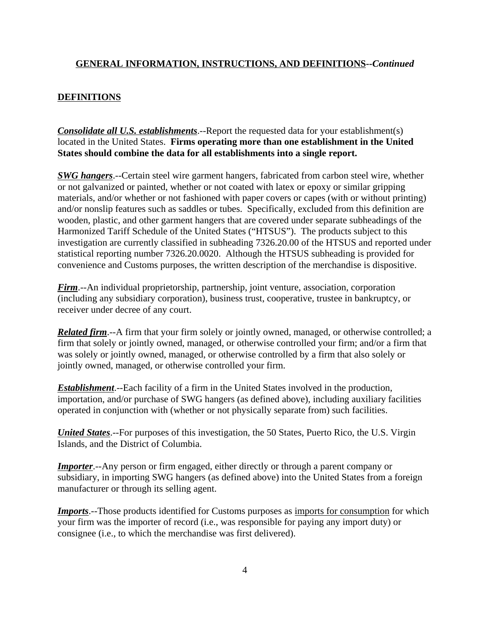## **DEFINITIONS**

*Consolidate all U.S. establishments*.--Report the requested data for your establishment(s) located in the United States. **Firms operating more than one establishment in the United States should combine the data for all establishments into a single report.**

*SWG hangers*.--Certain steel wire garment hangers, fabricated from carbon steel wire, whether or not galvanized or painted, whether or not coated with latex or epoxy or similar gripping materials, and/or whether or not fashioned with paper covers or capes (with or without printing) and/or nonslip features such as saddles or tubes. Specifically, excluded from this definition are wooden, plastic, and other garment hangers that are covered under separate subheadings of the Harmonized Tariff Schedule of the United States ("HTSUS"). The products subject to this investigation are currently classified in subheading 7326.20.00 of the HTSUS and reported under statistical reporting number 7326.20.0020. Although the HTSUS subheading is provided for convenience and Customs purposes, the written description of the merchandise is dispositive.

*Firm*.--An individual proprietorship, partnership, joint venture, association, corporation (including any subsidiary corporation), business trust, cooperative, trustee in bankruptcy, or receiver under decree of any court.

*Related firm*.--A firm that your firm solely or jointly owned, managed, or otherwise controlled; a firm that solely or jointly owned, managed, or otherwise controlled your firm; and/or a firm that was solely or jointly owned, managed, or otherwise controlled by a firm that also solely or jointly owned, managed, or otherwise controlled your firm.

*Establishment*.--Each facility of a firm in the United States involved in the production, importation, and/or purchase of SWG hangers (as defined above), including auxiliary facilities operated in conjunction with (whether or not physically separate from) such facilities.

*United States*.--For purposes of this investigation, the 50 States, Puerto Rico, the U.S. Virgin Islands, and the District of Columbia.

*Importer.*--Any person or firm engaged, either directly or through a parent company or subsidiary, in importing SWG hangers (as defined above) into the United States from a foreign manufacturer or through its selling agent.

*Imports*.--Those products identified for Customs purposes as imports for consumption for which your firm was the importer of record (i.e., was responsible for paying any import duty) or consignee (i.e., to which the merchandise was first delivered).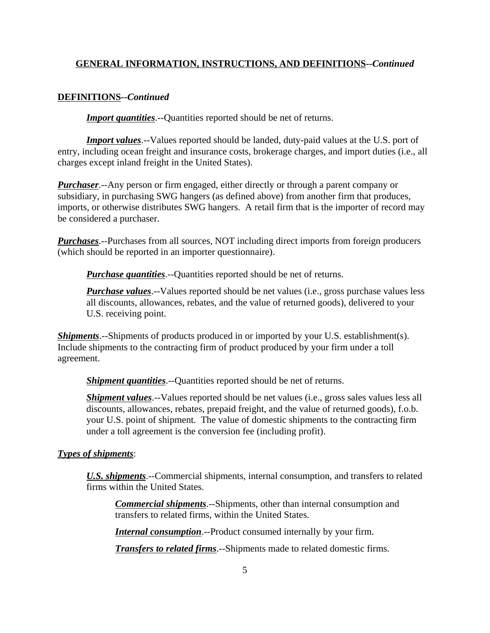#### **DEFINITIONS--***Continued*

*Import quantities*.--Quantities reported should be net of returns.

*Import values*.--Values reported should be landed, duty-paid values at the U.S. port of entry, including ocean freight and insurance costs, brokerage charges, and import duties (i.e., all charges except inland freight in the United States).

*Purchaser*.--Any person or firm engaged, either directly or through a parent company or subsidiary, in purchasing SWG hangers (as defined above) from another firm that produces, imports, or otherwise distributes SWG hangers. A retail firm that is the importer of record may be considered a purchaser.

*Purchases*.--Purchases from all sources, NOT including direct imports from foreign producers (which should be reported in an importer questionnaire).

*Purchase quantities*.--Quantities reported should be net of returns.

*Purchase values*.--Values reported should be net values (i.e., gross purchase values less all discounts, allowances, rebates, and the value of returned goods), delivered to your U.S. receiving point.

*Shipments*.--Shipments of products produced in or imported by your U.S. establishment(s). Include shipments to the contracting firm of product produced by your firm under a toll agreement.

*Shipment quantities*.--Quantities reported should be net of returns.

*Shipment values*.--Values reported should be net values (i.e., gross sales values less all discounts, allowances, rebates, prepaid freight, and the value of returned goods), f.o.b. your U.S. point of shipment. The value of domestic shipments to the contracting firm under a toll agreement is the conversion fee (including profit).

#### *Types of shipments*:

*U.S. shipments*.--Commercial shipments, internal consumption, and transfers to related firms within the United States.

*Commercial shipments*.--Shipments, other than internal consumption and transfers to related firms, within the United States.

*Internal consumption*.--Product consumed internally by your firm.

*Transfers to related firms*.--Shipments made to related domestic firms.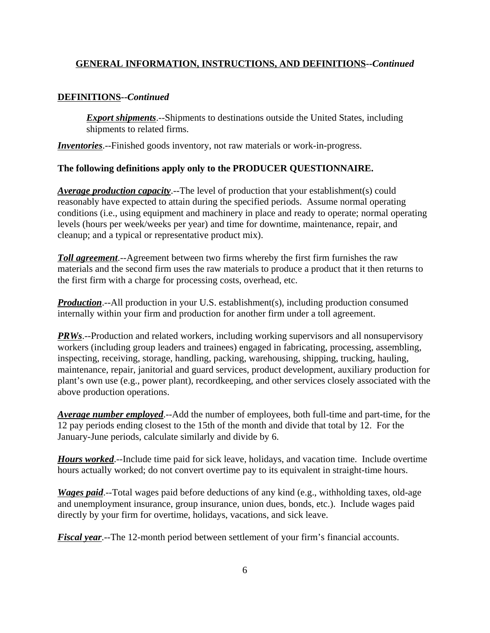## **DEFINITIONS--***Continued*

**Export shipments**.--Shipments to destinations outside the United States, including shipments to related firms.

*Inventories*.--Finished goods inventory, not raw materials or work-in-progress.

## **The following definitions apply only to the PRODUCER QUESTIONNAIRE.**

*Average production capacity*.--The level of production that your establishment(s) could reasonably have expected to attain during the specified periods. Assume normal operating conditions (i.e., using equipment and machinery in place and ready to operate; normal operating levels (hours per week/weeks per year) and time for downtime, maintenance, repair, and cleanup; and a typical or representative product mix).

*Toll agreement*.--Agreement between two firms whereby the first firm furnishes the raw materials and the second firm uses the raw materials to produce a product that it then returns to the first firm with a charge for processing costs, overhead, etc.

*Production*.--All production in your U.S. establishment(s), including production consumed internally within your firm and production for another firm under a toll agreement.

**PRWs**.--Production and related workers, including working supervisors and all nonsupervisory workers (including group leaders and trainees) engaged in fabricating, processing, assembling, inspecting, receiving, storage, handling, packing, warehousing, shipping, trucking, hauling, maintenance, repair, janitorial and guard services, product development, auxiliary production for plant's own use (e.g., power plant), recordkeeping, and other services closely associated with the above production operations.

*Average number employed*.--Add the number of employees, both full-time and part-time, for the 12 pay periods ending closest to the 15th of the month and divide that total by 12. For the January-June periods, calculate similarly and divide by 6.

*Hours worked*.--Include time paid for sick leave, holidays, and vacation time. Include overtime hours actually worked; do not convert overtime pay to its equivalent in straight-time hours.

*Wages paid*.--Total wages paid before deductions of any kind (e.g., withholding taxes, old-age and unemployment insurance, group insurance, union dues, bonds, etc.). Include wages paid directly by your firm for overtime, holidays, vacations, and sick leave.

*Fiscal year*.--The 12-month period between settlement of your firm's financial accounts.